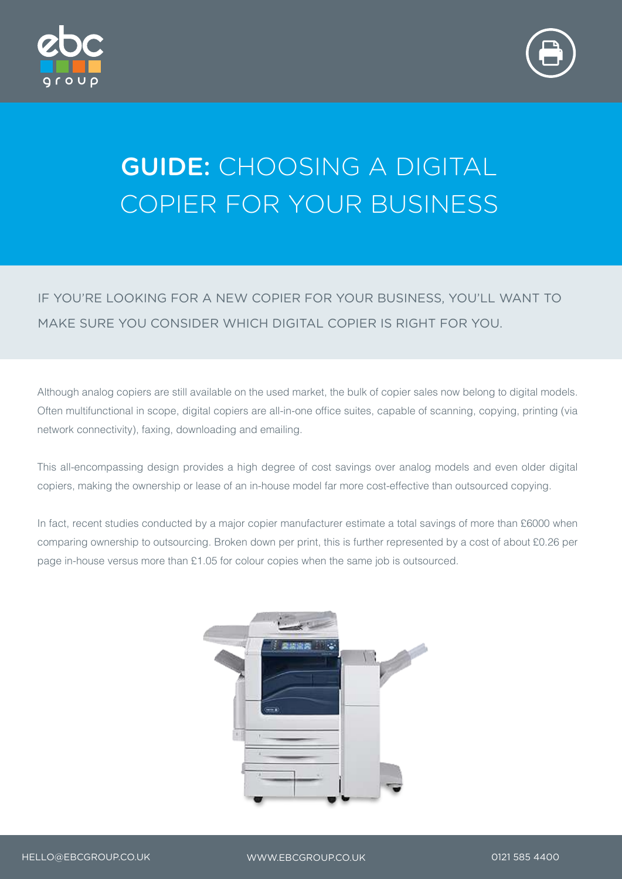



# GUIDE: CHOOSING A DIGITAL COPIER FOR YOUR BUSINESS

IF YOU'RE LOOKING FOR A NEW COPIER FOR YOUR BUSINESS, YOU'LL WANT TO MAKE SURE YOU CONSIDER WHICH DIGITAL COPIER IS RIGHT FOR YOU.

Although analog copiers are still available on the used market, the bulk of copier sales now belong to digital models. Often multifunctional in scope, digital copiers are all-in-one office suites, capable of scanning, copying, printing (via network connectivity), faxing, downloading and emailing.

This all-encompassing design provides a high degree of cost savings over analog models and even older digital copiers, making the ownership or lease of an in-house model far more cost-effective than outsourced copying.

In fact, recent studies conducted by a major copier manufacturer estimate a total savings of more than £6000 when comparing ownership to outsourcing. Broken down per print, this is further represented by a cost of about £0.26 per page in-house versus more than £1.05 for colour copies when the same job is outsourced.

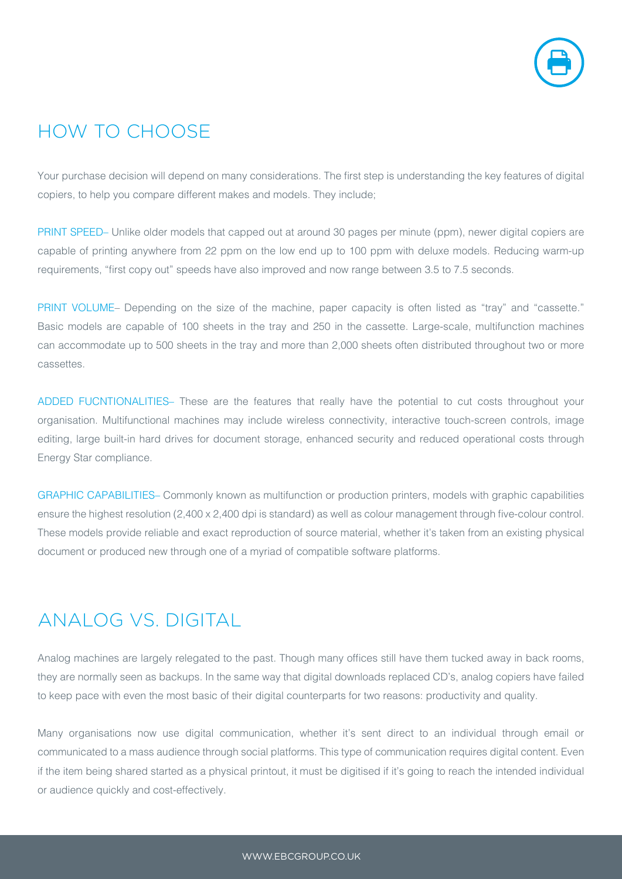

# HOW TO CHOOSE

Your purchase decision will depend on many considerations. The first step is understanding the key features of digital copiers, to help you compare different makes and models. They include;

PRINT SPEED– Unlike older models that capped out at around 30 pages per minute (ppm), newer digital copiers are capable of printing anywhere from 22 ppm on the low end up to 100 ppm with deluxe models. Reducing warm-up requirements, "first copy out" speeds have also improved and now range between 3.5 to 7.5 seconds.

PRINT VOLUME– Depending on the size of the machine, paper capacity is often listed as "tray" and "cassette." Basic models are capable of 100 sheets in the tray and 250 in the cassette. Large-scale, multifunction machines can accommodate up to 500 sheets in the tray and more than 2,000 sheets often distributed throughout two or more cassettes.

ADDED FUCNTIONALITIES– These are the features that really have the potential to cut costs throughout your organisation. Multifunctional machines may include wireless connectivity, interactive touch-screen controls, image editing, large built-in hard drives for document storage, enhanced security and reduced operational costs through Energy Star compliance.

GRAPHIC CAPABILITIES– Commonly known as multifunction or production printers, models with graphic capabilities ensure the highest resolution (2,400 x 2,400 dpi is standard) as well as colour management through five-colour control. These models provide reliable and exact reproduction of source material, whether it's taken from an existing physical document or produced new through one of a myriad of compatible software platforms.

# ANALOG VS. DIGITAL

Analog machines are largely relegated to the past. Though many offices still have them tucked away in back rooms, they are normally seen as backups. In the same way that digital downloads replaced CD's, analog copiers have failed to keep pace with even the most basic of their digital counterparts for two reasons: productivity and quality.

Many organisations now use digital communication, whether it's sent direct to an individual through email or communicated to a mass audience through social platforms. This type of communication requires digital content. Even if the item being shared started as a physical printout, it must be digitised if it's going to reach the intended individual or audience quickly and cost-effectively.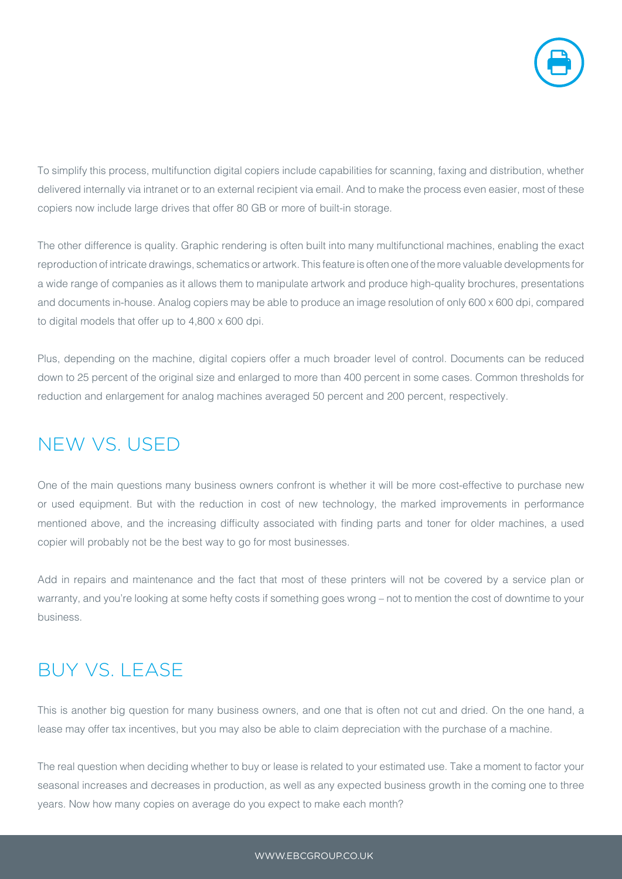

To simplify this process, multifunction digital copiers include capabilities for scanning, faxing and distribution, whether delivered internally via intranet or to an external recipient via email. And to make the process even easier, most of these copiers now include large drives that offer 80 GB or more of built-in storage.

The other difference is quality. Graphic rendering is often built into many multifunctional machines, enabling the exact reproduction of intricate drawings, schematics or artwork. This feature is often one of the more valuable developments for a wide range of companies as it allows them to manipulate artwork and produce high-quality brochures, presentations and documents in-house. Analog copiers may be able to produce an image resolution of only 600 x 600 dpi, compared to digital models that offer up to 4,800 x 600 dpi.

Plus, depending on the machine, digital copiers offer a much broader level of control. Documents can be reduced down to 25 percent of the original size and enlarged to more than 400 percent in some cases. Common thresholds for reduction and enlargement for analog machines averaged 50 percent and 200 percent, respectively.

# NEW VS. USED

One of the main questions many business owners confront is whether it will be more cost-effective to purchase new or used equipment. But with the reduction in cost of new technology, the marked improvements in performance mentioned above, and the increasing difficulty associated with finding parts and toner for older machines, a used copier will probably not be the best way to go for most businesses.

Add in repairs and maintenance and the fact that most of these printers will not be covered by a service plan or warranty, and you're looking at some hefty costs if something goes wrong – not to mention the cost of downtime to your business.

### BUY VS. LEASE

This is another big question for many business owners, and one that is often not cut and dried. On the one hand, a lease may offer tax incentives, but you may also be able to claim depreciation with the purchase of a machine.

The real question when deciding whether to buy or lease is related to your estimated use. Take a moment to factor your seasonal increases and decreases in production, as well as any expected business growth in the coming one to three years. Now how many copies on average do you expect to make each month?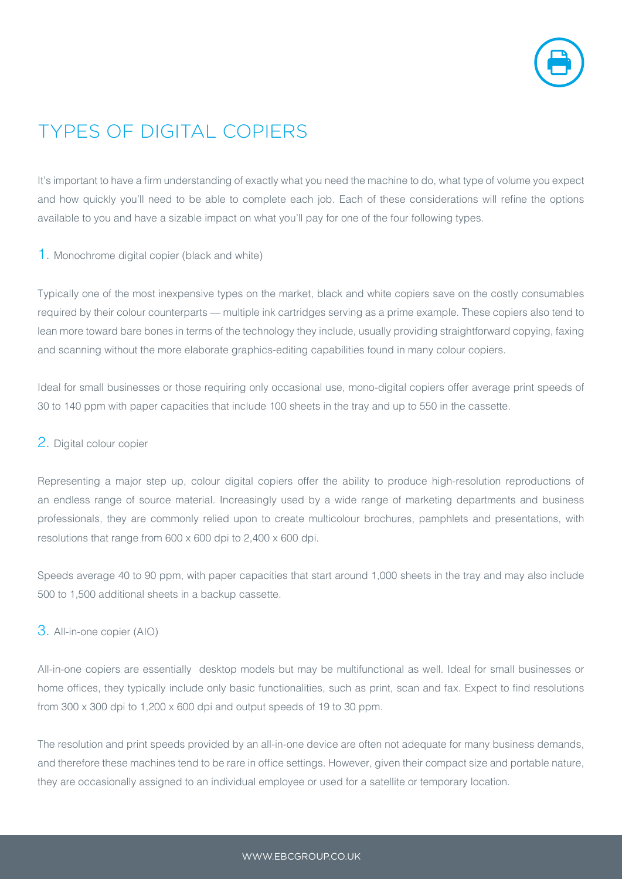

# TYPES OF DIGITAL COPIERS

It's important to have a firm understanding of exactly what you need the machine to do, what type of volume you expect and how quickly you'll need to be able to complete each job. Each of these considerations will refine the options available to you and have a sizable impact on what you'll pay for one of the four following types.

#### 1. Monochrome digital copier (black and white)

Typically one of the most inexpensive types on the market, black and white copiers save on the costly consumables required by their colour counterparts — multiple ink cartridges serving as a prime example. These copiers also tend to lean more toward bare bones in terms of the technology they include, usually providing straightforward copying, faxing and scanning without the more elaborate graphics-editing capabilities found in many colour copiers.

Ideal for small businesses or those requiring only occasional use, mono-digital copiers offer average print speeds of 30 to 140 ppm with paper capacities that include 100 sheets in the tray and up to 550 in the cassette.

#### 2. Digital colour copier

Representing a major step up, colour digital copiers offer the ability to produce high-resolution reproductions of an endless range of source material. Increasingly used by a wide range of marketing departments and business professionals, they are commonly relied upon to create multicolour brochures, pamphlets and presentations, with resolutions that range from 600 x 600 dpi to 2,400 x 600 dpi.

Speeds average 40 to 90 ppm, with paper capacities that start around 1,000 sheets in the tray and may also include 500 to 1,500 additional sheets in a backup cassette.

#### 3. All-in-one copier (AIO)

All-in-one copiers are essentially desktop models but may be multifunctional as well. Ideal for small businesses or home offices, they typically include only basic functionalities, such as print, scan and fax. Expect to find resolutions from 300 x 300 dpi to 1,200 x 600 dpi and output speeds of 19 to 30 ppm.

The resolution and print speeds provided by an all-in-one device are often not adequate for many business demands, and therefore these machines tend to be rare in office settings. However, given their compact size and portable nature, they are occasionally assigned to an individual employee or used for a satellite or temporary location.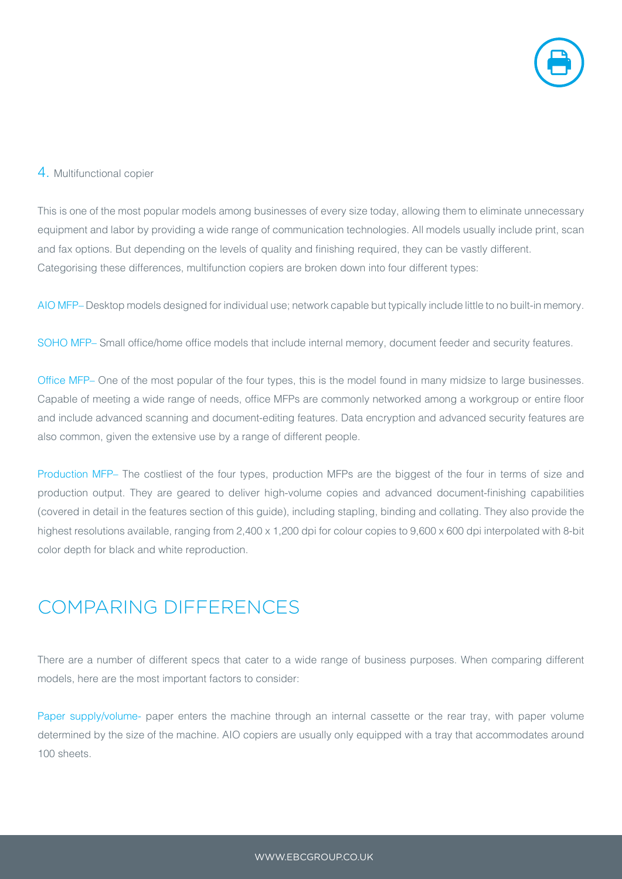

#### 4. Multifunctional copier

This is one of the most popular models among businesses of every size today, allowing them to eliminate unnecessary equipment and labor by providing a wide range of communication technologies. All models usually include print, scan and fax options. But depending on the levels of quality and finishing required, they can be vastly different. Categorising these differences, multifunction copiers are broken down into four different types:

AIO MFP– Desktop models designed for individual use; network capable but typically include little to no built-in memory.

SOHO MFP– Small office/home office models that include internal memory, document feeder and security features.

Office MFP– One of the most popular of the four types, this is the model found in many midsize to large businesses. Capable of meeting a wide range of needs, office MFPs are commonly networked among a workgroup or entire floor and include advanced scanning and document-editing features. Data encryption and advanced security features are also common, given the extensive use by a range of different people.

Production MFP– The costliest of the four types, production MFPs are the biggest of the four in terms of size and production output. They are geared to deliver high-volume copies and advanced document-finishing capabilities (covered in detail in the features section of this guide), including stapling, binding and collating. They also provide the highest resolutions available, ranging from 2,400 x 1,200 dpi for colour copies to 9,600 x 600 dpi interpolated with 8-bit color depth for black and white reproduction.

# COMPARING DIFFERENCES

There are a number of different specs that cater to a wide range of business purposes. When comparing different models, here are the most important factors to consider:

Paper supply/volume- paper enters the machine through an internal cassette or the rear tray, with paper volume determined by the size of the machine. AIO copiers are usually only equipped with a tray that accommodates around 100 sheets.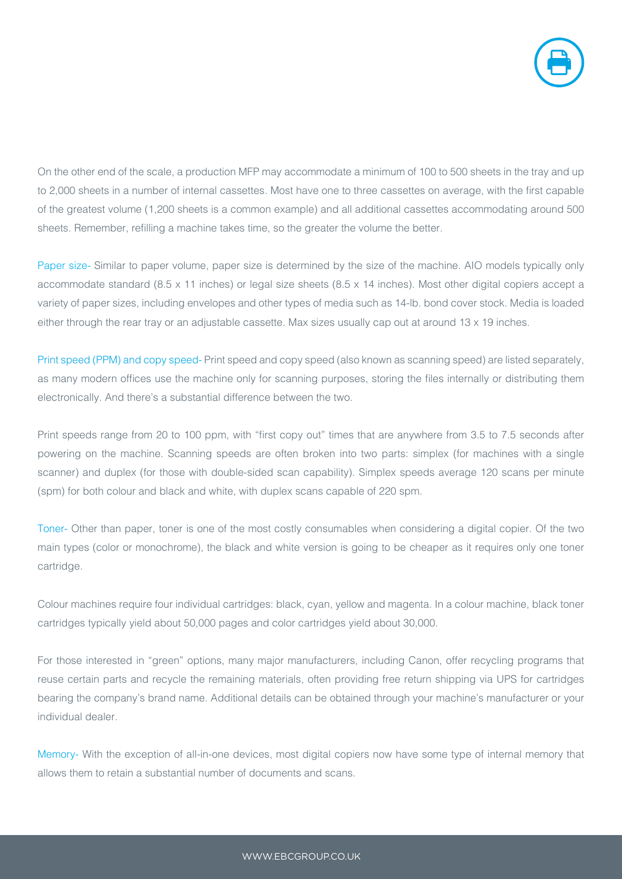

On the other end of the scale, a production MFP may accommodate a minimum of 100 to 500 sheets in the tray and up to 2,000 sheets in a number of internal cassettes. Most have one to three cassettes on average, with the first capable of the greatest volume (1,200 sheets is a common example) and all additional cassettes accommodating around 500 sheets. Remember, refilling a machine takes time, so the greater the volume the better.

Paper size- Similar to paper volume, paper size is determined by the size of the machine. AIO models typically only accommodate standard (8.5 x 11 inches) or legal size sheets (8.5 x 14 inches). Most other digital copiers accept a variety of paper sizes, including envelopes and other types of media such as 14-lb. bond cover stock. Media is loaded either through the rear tray or an adjustable cassette. Max sizes usually cap out at around 13 x 19 inches.

Print speed (PPM) and copy speed- Print speed and copy speed (also known as scanning speed) are listed separately, as many modern offices use the machine only for scanning purposes, storing the files internally or distributing them electronically. And there's a substantial difference between the two.

Print speeds range from 20 to 100 ppm, with "first copy out" times that are anywhere from 3.5 to 7.5 seconds after powering on the machine. Scanning speeds are often broken into two parts: simplex (for machines with a single scanner) and duplex (for those with double-sided scan capability). Simplex speeds average 120 scans per minute (spm) for both colour and black and white, with duplex scans capable of 220 spm.

Toner- Other than paper, toner is one of the most costly consumables when considering a digital copier. Of the two main types (color or monochrome), the black and white version is going to be cheaper as it requires only one toner cartridge.

Colour machines require four individual cartridges: black, cyan, yellow and magenta. In a colour machine, black toner cartridges typically yield about 50,000 pages and color cartridges yield about 30,000.

For those interested in "green" options, many major manufacturers, including Canon, offer recycling programs that reuse certain parts and recycle the remaining materials, often providing free return shipping via UPS for cartridges bearing the company's brand name. Additional details can be obtained through your machine's manufacturer or your individual dealer.

Memory- With the exception of all-in-one devices, most digital copiers now have some type of internal memory that allows them to retain a substantial number of documents and scans.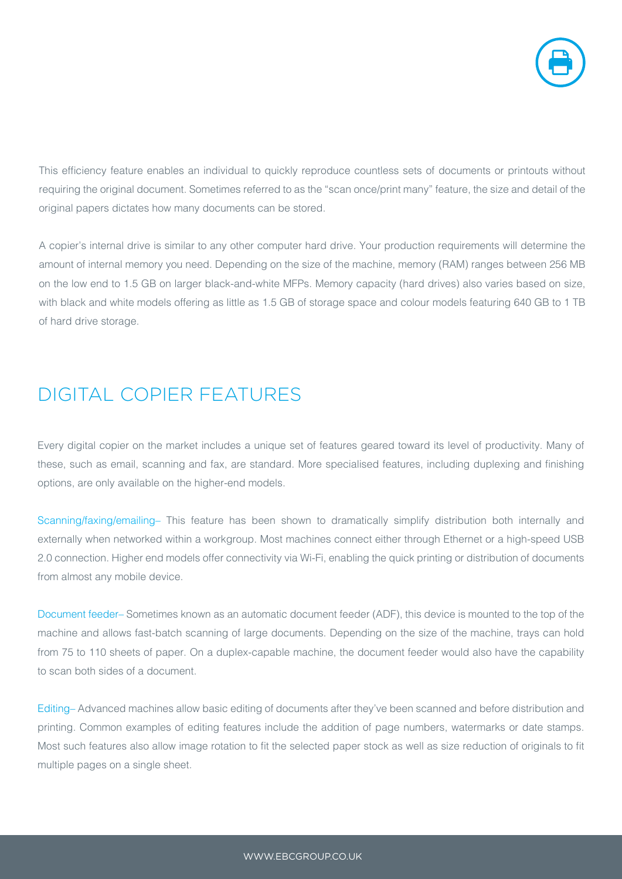

This efficiency feature enables an individual to quickly reproduce countless sets of documents or printouts without requiring the original document. Sometimes referred to as the "scan once/print many" feature, the size and detail of the original papers dictates how many documents can be stored.

A copier's internal drive is similar to any other computer hard drive. Your production requirements will determine the amount of internal memory you need. Depending on the size of the machine, memory (RAM) ranges between 256 MB on the low end to 1.5 GB on larger black-and-white MFPs. Memory capacity (hard drives) also varies based on size, with black and white models offering as little as 1.5 GB of storage space and colour models featuring 640 GB to 1 TB of hard drive storage.

### DIGITAL COPIER FEATURES

Every digital copier on the market includes a unique set of features geared toward its level of productivity. Many of these, such as email, scanning and fax, are standard. More specialised features, including duplexing and finishing options, are only available on the higher-end models.

Scanning/faxing/emailing– This feature has been shown to dramatically simplify distribution both internally and externally when networked within a workgroup. Most machines connect either through Ethernet or a high-speed USB 2.0 connection. Higher end models offer connectivity via Wi-Fi, enabling the quick printing or distribution of documents from almost any mobile device.

Document feeder– Sometimes known as an automatic document feeder (ADF), this device is mounted to the top of the machine and allows fast-batch scanning of large documents. Depending on the size of the machine, trays can hold from 75 to 110 sheets of paper. On a duplex-capable machine, the document feeder would also have the capability to scan both sides of a document.

Editing– Advanced machines allow basic editing of documents after they've been scanned and before distribution and printing. Common examples of editing features include the addition of page numbers, watermarks or date stamps. Most such features also allow image rotation to fit the selected paper stock as well as size reduction of originals to fit multiple pages on a single sheet.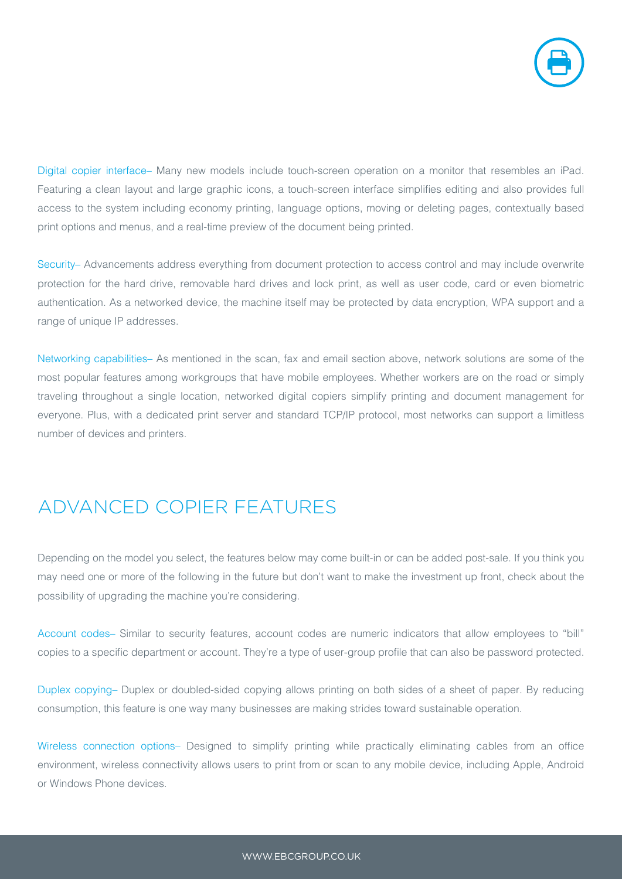

Digital copier interface– Many new models include touch-screen operation on a monitor that resembles an iPad. Featuring a clean layout and large graphic icons, a touch-screen interface simplifies editing and also provides full access to the system including economy printing, language options, moving or deleting pages, contextually based print options and menus, and a real-time preview of the document being printed.

Security– Advancements address everything from document protection to access control and may include overwrite protection for the hard drive, removable hard drives and lock print, as well as user code, card or even biometric authentication. As a networked device, the machine itself may be protected by data encryption, WPA support and a range of unique IP addresses.

Networking capabilities– As mentioned in the scan, fax and email section above, network solutions are some of the most popular features among workgroups that have mobile employees. Whether workers are on the road or simply traveling throughout a single location, networked digital copiers simplify printing and document management for everyone. Plus, with a dedicated print server and standard TCP/IP protocol, most networks can support a limitless number of devices and printers.

# ADVANCED COPIER FEATURES

Depending on the model you select, the features below may come built-in or can be added post-sale. If you think you may need one or more of the following in the future but don't want to make the investment up front, check about the possibility of upgrading the machine you're considering.

Account codes– Similar to security features, account codes are numeric indicators that allow employees to "bill" copies to a specific department or account. They're a type of user-group profile that can also be password protected.

Duplex copying– Duplex or doubled-sided copying allows printing on both sides of a sheet of paper. By reducing consumption, this feature is one way many businesses are making strides toward sustainable operation.

Wireless connection options– Designed to simplify printing while practically eliminating cables from an office environment, wireless connectivity allows users to print from or scan to any mobile device, including Apple, Android or Windows Phone devices.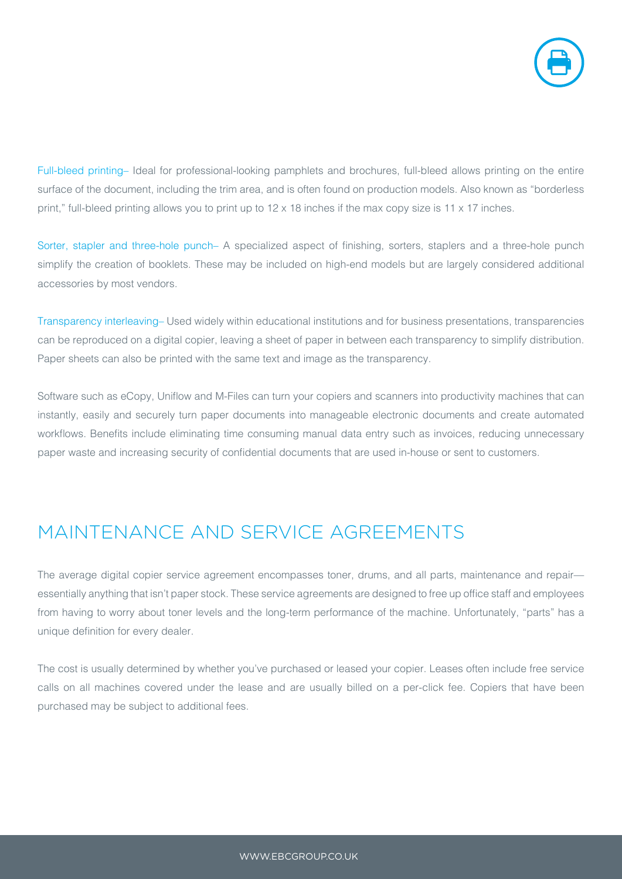

Full-bleed printing– Ideal for professional-looking pamphlets and brochures, full-bleed allows printing on the entire surface of the document, including the trim area, and is often found on production models. Also known as "borderless print," full-bleed printing allows you to print up to  $12 \times 18$  inches if the max copy size is  $11 \times 17$  inches.

Sorter, stapler and three-hole punch– A specialized aspect of finishing, sorters, staplers and a three-hole punch simplify the creation of booklets. These may be included on high-end models but are largely considered additional accessories by most vendors.

Transparency interleaving– Used widely within educational institutions and for business presentations, transparencies can be reproduced on a digital copier, leaving a sheet of paper in between each transparency to simplify distribution. Paper sheets can also be printed with the same text and image as the transparency.

Software such as eCopy, Uniflow and M-Files can turn your copiers and scanners into productivity machines that can instantly, easily and securely turn paper documents into manageable electronic documents and create automated workflows. Benefits include eliminating time consuming manual data entry such as invoices, reducing unnecessary paper waste and increasing security of confidential documents that are used in-house or sent to customers.

### MAINTENANCE AND SERVICE AGREEMENTS

The average digital copier service agreement encompasses toner, drums, and all parts, maintenance and repair essentially anything that isn't paper stock. These service agreements are designed to free up office staff and employees from having to worry about toner levels and the long-term performance of the machine. Unfortunately, "parts" has a unique definition for every dealer.

The cost is usually determined by whether you've purchased or leased your copier. Leases often include free service calls on all machines covered under the lease and are usually billed on a per-click fee. Copiers that have been purchased may be subject to additional fees.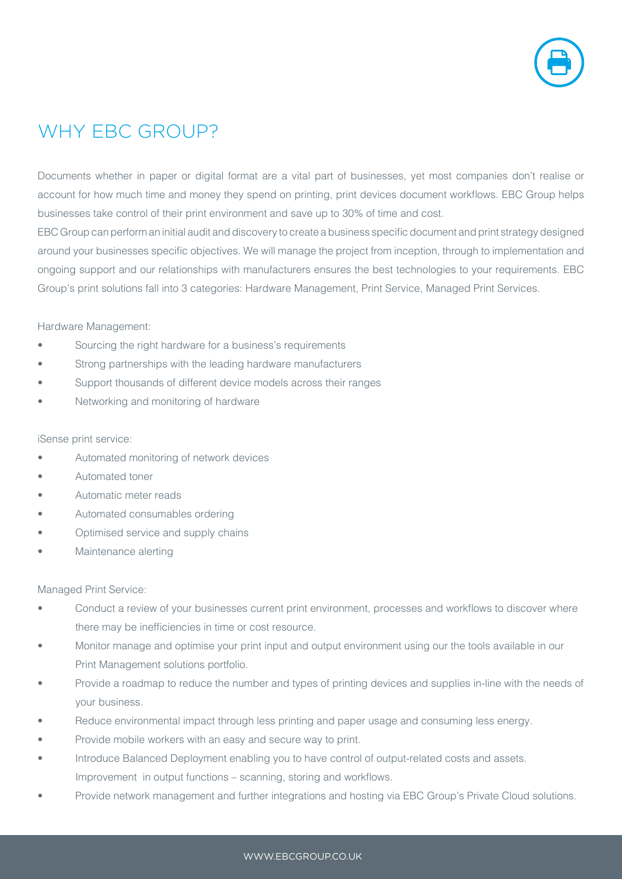

### WHY EBC GROUP?

Documents whether in paper or digital format are a vital part of businesses, yet most companies don't realise or account for how much time and money they spend on printing, print devices document workflows. EBC Group helps businesses take control of their print environment and save up to 30% of time and cost.

EBC Group can perform an initial audit and discovery to create a business specific document and print strategy designed around your businesses specific objectives. We will manage the project from inception, through to implementation and ongoing support and our relationships with manufacturers ensures the best technologies to your requirements. EBC Group's print solutions fall into 3 categories: Hardware Management, Print Service, Managed Print Services.

Hardware Management:

- Sourcing the right hardware for a business's requirements
- Strong partnerships with the leading hardware manufacturers
- Support thousands of different device models across their ranges
- Networking and monitoring of hardware

#### iSense print service:

- Automated monitoring of network devices
- Automated toner
- Automatic meter reads
- Automated consumables ordering
- Optimised service and supply chains
- Maintenance alerting

Managed Print Service:

- Conduct a review of your businesses current print environment, processes and workflows to discover where there may be inefficiencies in time or cost resource.
- Monitor manage and optimise your print input and output environment using our the tools available in our Print Management solutions portfolio.
- Provide a roadmap to reduce the number and types of printing devices and supplies in-line with the needs of your business.
- Reduce environmental impact through less printing and paper usage and consuming less energy.
- Provide mobile workers with an easy and secure way to print.
- Introduce Balanced Deployment enabling you to have control of output-related costs and assets. Improvement in output functions – scanning, storing and workflows.
- Provide network management and further integrations and hosting via EBC Group's Private Cloud solutions.